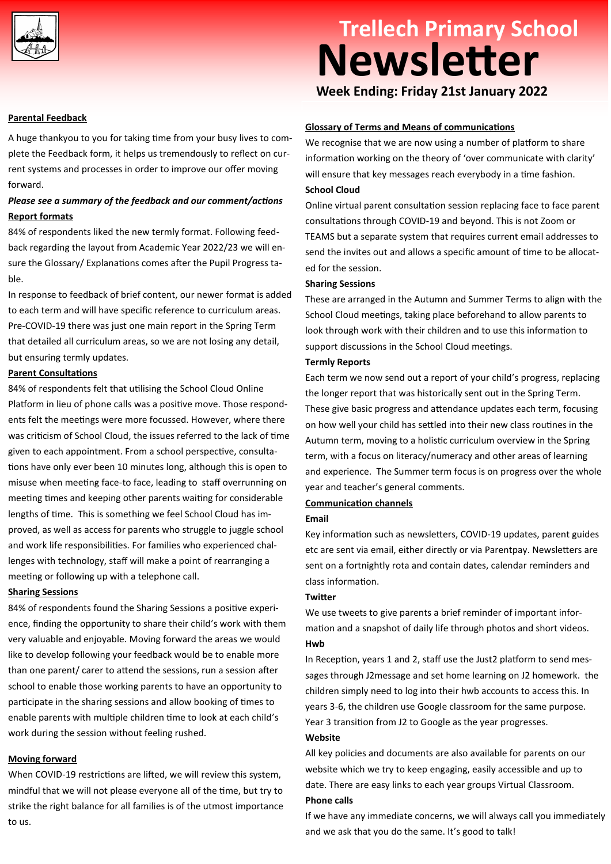

# **Trellech Primary School Newsletter**

**Week Ending: Friday 21st January 2022**

#### **Parental Feedback**

A huge thankyou to you for taking time from your busy lives to complete the Feedback form, it helps us tremendously to reflect on current systems and processes in order to improve our offer moving forward.

### *Please see a summary of the feedback and our comment/actions*  **Report formats**

84% of respondents liked the new termly format. Following feedback regarding the layout from Academic Year 2022/23 we will ensure the Glossary/ Explanations comes after the Pupil Progress table.

In response to feedback of brief content, our newer format is added to each term and will have specific reference to curriculum areas. Pre-COVID-19 there was just one main report in the Spring Term that detailed all curriculum areas, so we are not losing any detail, but ensuring termly updates.

#### **Parent Consultations**

84% of respondents felt that utilising the School Cloud Online Platform in lieu of phone calls was a positive move. Those respondents felt the meetings were more focussed. However, where there was criticism of School Cloud, the issues referred to the lack of time given to each appointment. From a school perspective, consultations have only ever been 10 minutes long, although this is open to misuse when meeting face-to face, leading to staff overrunning on meeting times and keeping other parents waiting for considerable lengths of time. This is something we feel School Cloud has improved, as well as access for parents who struggle to juggle school and work life responsibilities. For families who experienced challenges with technology, staff will make a point of rearranging a meeting or following up with a telephone call.

#### **Sharing Sessions**

84% of respondents found the Sharing Sessions a positive experience, finding the opportunity to share their child's work with them very valuable and enjoyable. Moving forward the areas we would like to develop following your feedback would be to enable more than one parent/ carer to attend the sessions, run a session after school to enable those working parents to have an opportunity to participate in the sharing sessions and allow booking of times to enable parents with multiple children time to look at each child's work during the session without feeling rushed.

#### **Moving forward**

When COVID-19 restrictions are lifted, we will review this system, mindful that we will not please everyone all of the time, but try to strike the right balance for all families is of the utmost importance to us.

#### **Glossary of Terms and Means of communications**

We recognise that we are now using a number of platform to share information working on the theory of 'over communicate with clarity' will ensure that key messages reach everybody in a time fashion. **School Cloud** 

Online virtual parent consultation session replacing face to face parent consultations through COVID-19 and beyond. This is not Zoom or TEAMS but a separate system that requires current email addresses to send the invites out and allows a specific amount of time to be allocated for the session.

#### **Sharing Sessions**

These are arranged in the Autumn and Summer Terms to align with the School Cloud meetings, taking place beforehand to allow parents to look through work with their children and to use this information to support discussions in the School Cloud meetings.

#### **Termly Reports**

Each term we now send out a report of your child's progress, replacing the longer report that was historically sent out in the Spring Term. These give basic progress and attendance updates each term, focusing on how well your child has settled into their new class routines in the Autumn term, moving to a holistic curriculum overview in the Spring term, with a focus on literacy/numeracy and other areas of learning and experience. The Summer term focus is on progress over the whole year and teacher's general comments.

# **Communication channels**

## **Email**

Key information such as newsletters, COVID-19 updates, parent guides etc are sent via email, either directly or via Parentpay. Newsletters are sent on a fortnightly rota and contain dates, calendar reminders and class information.

#### **Twitter**

We use tweets to give parents a brief reminder of important information and a snapshot of daily life through photos and short videos. **Hwb** 

In Reception, years 1 and 2, staff use the Just2 platform to send messages through J2message and set home learning on J2 homework. the children simply need to log into their hwb accounts to access this. In years 3-6, the children use Google classroom for the same purpose. Year 3 transition from J2 to Google as the year progresses. **Website**

All key policies and documents are also available for parents on our website which we try to keep engaging, easily accessible and up to date. There are easy links to each year groups Virtual Classroom. **Phone calls** 

If we have any immediate concerns, we will always call you immediately and we ask that you do the same. It's good to talk!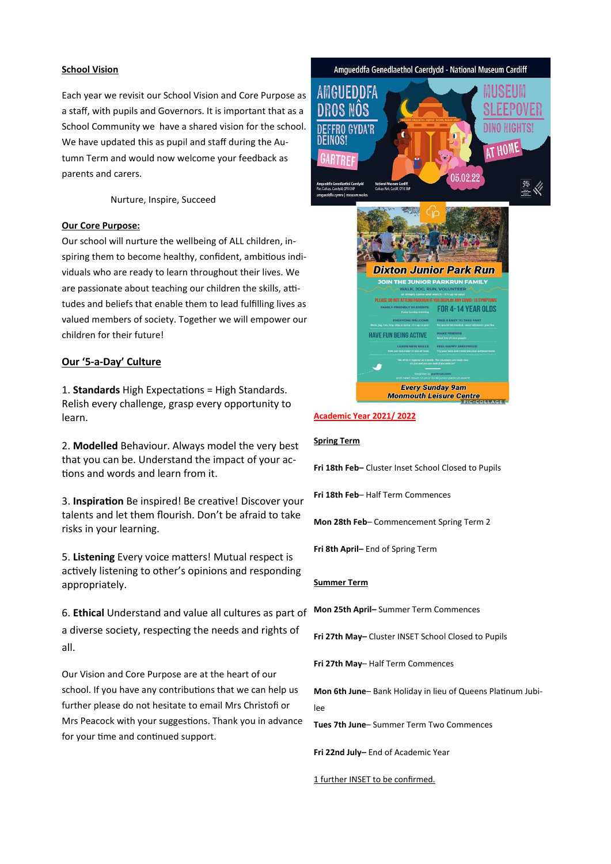#### **School Vision**

Each year we revisit our School Vision and Core Purpose as a staff, with pupils and Governors. It is important that as a School Community we have a shared vision for the school. We have updated this as pupil and staff during the Autumn Term and would now welcome your feedback as parents and carers.

Nurture, Inspire, Succeed

#### **Our Core Purpose:**

Our school will nurture the wellbeing of ALL children, inspiring them to become healthy, confident, ambitious individuals who are ready to learn throughout their lives. We are passionate about teaching our children the skills, attitudes and beliefs that enable them to lead fulfilling lives as valued members of society. Together we will empower our children for their future!

### **Our '5-a-Day' Culture**

1. **Standards** High Expectations = High Standards. Relish every challenge, grasp every opportunity to learn.

2. **Modelled** Behaviour. Always model the very best that you can be. Understand the impact of your actions and words and learn from it.

3. **Inspiration** Be inspired! Be creative! Discover your talents and let them flourish. Don't be afraid to take risks in your learning.

5. **Listening** Every voice matters! Mutual respect is actively listening to other's opinions and responding appropriately.

6. **Ethical** Understand and value all cultures as part of a diverse society, respecting the needs and rights of all.

Our Vision and Core Purpose are at the heart of our school. If you have any contributions that we can help us further please do not hesitate to email Mrs Christofi or Mrs Peacock with your suggestions. Thank you in advance for your time and continued support.

# Amgueddfa Genedlaethol Caerdydd - National Museum Cardiff AMGUEDDFA **AT HOM** በደ በ9 99 **Dixton Junior Park Run** OIN THE JUNIOR PARKRUN FAMIL'

#### **Academic Year 2021/ 2022**

#### **Spring Term**

**Fri 18th Feb–** Cluster Inset School Closed to Pupils

PLEASE DO NOT ATTEND PARKRUN IF YOU DISPLAY

**Every Sunday 9am<br>Monmouth Leisure Centre** 

**HAVE FUN BEING ACTIVE** 

FOR 4-14 YEAR OLDS

**Fri 18th Feb**– Half Term Commences

**Mon 28th Feb**– Commencement Spring Term 2

**Fri 8th April–** End of Spring Term

#### **Summer Term**

**Mon 25th April–** Summer Term Commences

**Fri 27th May–** Cluster INSET School Closed to Pupils

**Fri 27th May**– Half Term Commences

**Mon 6th June**– Bank Holiday in lieu of Queens Platinum Jubilee

**Tues 7th June**– Summer Term Two Commences

**Fri 22nd July–** End of Academic Year

#### 1 further INSET to be confirmed.